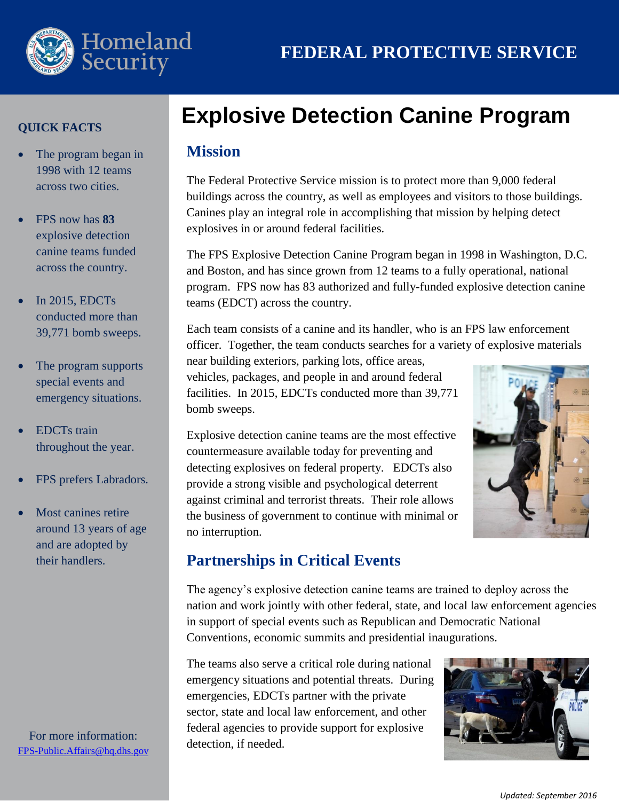

#### **QUICK FACTS**

- $\bullet$ The program began in 1998 with 12 teams across two cities.
- $\bullet$ FPS now has **83** explosive detection canine teams funded across the country.
- $\bullet$ In 2015, EDCTs conducted more than 39,771 bomb sweeps.
- $\bullet$ The program supports special events and emergency situations.
- $\bullet$ EDCTs train throughout the year.
- $\bullet$ FPS prefers Labradors.
- $\bullet$ Most canines retire around 13 years of age and are adopted by their handlers.

For more information: [FPS-Public.Affairs@hq.dhs.gov](mailto:FPS-Public.Affairs@hq.dhs.gov)

# **Explosive Detection Canine Program**

### **Mission**

The Federal Protective Service mission is to protect more than 9,000 federal buildings across the country, as well as employees and visitors to those buildings. Canines play an integral role in accomplishing that mission by helping detect explosives in or around federal facilities.

The FPS Explosive Detection Canine Program began in 1998 in Washington, D.C. and Boston, and has since grown from 12 teams to a fully operational, national program. FPS now has 83 authorized and fully-funded explosive detection canine teams (EDCT) across the country.

Each team consists of a canine and its handler, who is an FPS law enforcement officer. Together, the team conducts searches for a variety of explosive materials

near building exteriors, parking lots, office areas, vehicles, packages, and people in and around federal facilities. In 2015, EDCTs conducted more than 39,771 bomb sweeps.

Explosive detection canine teams are the most effective countermeasure available today for preventing and detecting explosives on federal property. EDCTs also provide a strong visible and psychological deterrent against criminal and terrorist threats. Their role allows the business of government to continue with minimal or no interruption.



## **Partnerships in Critical Events**

The agency's explosive detection canine teams are trained to deploy across the nation and work jointly with other federal, state, and local law enforcement agencies in support of special events such as Republican and Democratic National Conventions, economic summits and presidential inaugurations.

The teams also serve a critical role during national emergency situations and potential threats. During emergencies, EDCTs partner with the private sector, state and local law enforcement, and other federal agencies to provide support for explosive detection, if needed.